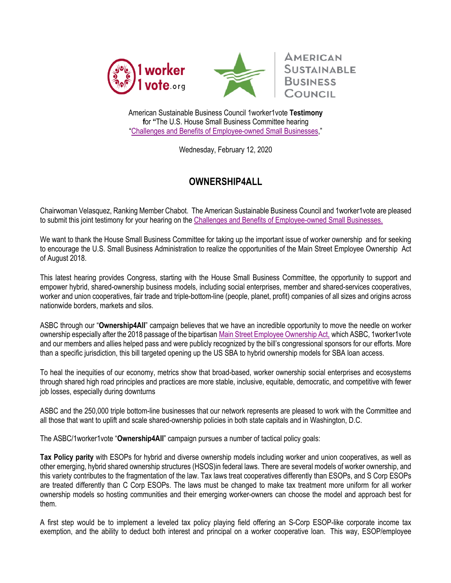



**AMERICAN SUSTAINABLE** 

American Sustainable Business Council 1worker1vote **Testimony f**or **"**The U.S. House Small Business Committee hearing "Challenges and Benefits of Employee-owned Small Businesses,"

Wednesday, February 12, 2020

## **OWNERSHIP4ALL**

Chairwoman Velasquez, Ranking Member Chabot. The American Sustainable Business Council and 1worker1vote are pleased to submit this joint testimony for your hearing on the Challenges and Benefits of Employee-owned Small Businesses.

We want to thank the House Small Business Committee for taking up the important issue of worker ownership and for seeking to encourage the U.S. Small Business Administration to realize the opportunities of the Main Street Employee Ownership Act of August 2018.

This latest hearing provides Congress, starting with the House Small Business Committee, the opportunity to support and empower hybrid, shared-ownership business models, including social enterprises, member and shared-services cooperatives, worker and union cooperatives, fair trade and triple-bottom-line (people, planet, profit) companies of all sizes and origins across nationwide borders, markets and silos.

ASBC through our "**Ownership4All**" campaign believes that we have an incredible opportunity to move the needle on worker ownership especially after the 2018 passage of the bipartisan Main Street Employee Ownership Act, which ASBC, 1worker1vote and our members and allies helped pass and were publicly recognized by the bill's congressional sponsors for our efforts. More than a specific jurisdiction, this bill targeted opening up the US SBA to hybrid ownership models for SBA loan access.

To heal the inequities of our economy, metrics show that broad-based, worker ownership social enterprises and ecosystems through shared high road principles and practices are more stable, inclusive, equitable, democratic, and competitive with fewer job losses, especially during downturns

ASBC and the 250,000 triple bottom-line businesses that our network represents are pleased to work with the Committee and all those that want to uplift and scale shared-ownership policies in both state capitals and in Washington, D.C.

The ASBC/1worker1vote "**Ownership4All**" campaign pursues a number of tactical policy goals:

**Tax Policy parity** with ESOPs for hybrid and diverse ownership models including worker and union cooperatives, as well as other emerging, hybrid shared ownership structures (HSOS)in federal laws. There are several models of worker ownership, and this variety contributes to the fragmentation of the law. Tax laws treat cooperatives differently than ESOPs, and S Corp ESOPs are treated differently than C Corp ESOPs. The laws must be changed to make tax treatment more uniform for all worker ownership models so hosting communities and their emerging worker-owners can choose the model and approach best for them.

A first step would be to implement a leveled tax policy playing field offering an S-Corp ESOP-like corporate income tax exemption, and the ability to deduct both interest and principal on a worker cooperative loan. This way, ESOP/employee